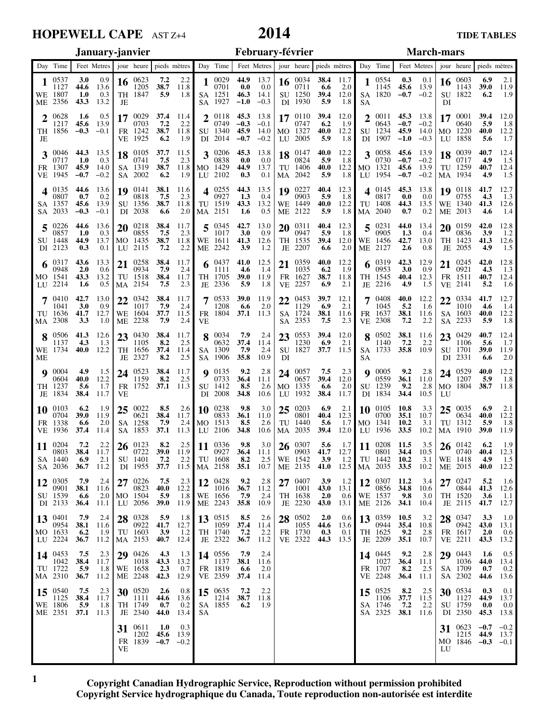### **HOPEWELL CAPE** AST Z+4

# **2014**

### Day Time Feet Metres jour heure pieds mètres Day Time Feet Metres jour heure pieds mètres Day Time Feet Metres jour heure pieds mètres **January-janvier February-février March-mars 1 2 3 4 5 6 7 8 9 10 11 12 13 14 15 16 17 18 19 20 21 22 23 24 25 26 27 28 29 30 31 1 2 3 4 5 6 7 8 9 10 11 12 13 14 15 16 17 18 19 20 21 22 23 24 25 26 27 28 1 2 3 4 5 6 7 8 9 10 11 12 13 14 15 16 17 18 19 20 21 22 23 24 25 26 27 28 29 30 31** WE TH FR SA **SU** MO **TU** WE TH FR SA **SU** MO **TU** WE TH FR SA **SU** MO TU WE TH FR SA **SU** MO TU WE TH FR SA **SU** MO **TU** WE TH FR SA SU MO TU WE TH FR SA SU MO TU WE TH FR SA SU MO TU WE TH FR SA SU MO **TU** WE TH FR SA SU MO TU WE TH FR SA SU MO **TU** WE TH FR SA SU MO **TU** WE TH FR SA **SU** MO ME JE VE SA DI LU MA ME JE VE SA DI LU MA ME JE VE SA 2002 DI LU MA ME JE VE SA DI LU MA ME JE VE SA DI LU 2102 MA ME JE VE SA DI LU MA ME JE VE SA DI LU MA 2042 ME JE VE SA DI LU MA ME JE VE SA DI LU MA ME JE VE SA DI LU MA ME JE VE SA DI LU MA ME JE VE SA DI LU MA ME JE VE SA DI 2350 LU 0537 1127 1807 2356 0628 1217 1856 0046 0717 1307 1945 0135 0807 1357 2033 0226 0857 1448 2123 0317 0948 1541 2214 0410 1041 1636 2308 0506 1137 1734 0004 0604 1237 1834 0103 0704 1338 1936 0204 0803 1440 2036 0305 0901 1539 2133 0401 0954 1633 2224 0453 1042 1722 2310 0540 1125 1806 2351 0623 1205 1847 0029 0703 1242 1925 0105 0741 1319 0141 0818 1356 2038 0218 0855 1435 2115 0258 0934 1518 2154 0342 1017 1604 2238 0430 1105 1656 2327 0523 1159 1752 0022 0621 1258 1853 0123 0722 1401 1955 0226 0823 1504 2056 0328 0922 1603 2153 0426 1018 1658 2248 0520 1111 1749 2340 0611 1202 1839 0029 0701 1251 1927 0118 0749 1340 2014 0206 0838 1429 0255 0927 1519 2151 0345 1017 1611 2242 0437 1111 1705 2336 0533 1208 1804 0034 0632 1309 1906 0135 0733 1412 2008 0238 0833 1513 2106 0336 0927 1608 2158 0428 1016 1656 2243 0515 1059 1740 2322 0556 1137 1819 2359 0635 1214 1855 0034 0711 1250 1930 0110 0747 1327 2005 0147 0824 1406 0227 0903 1449 2122 0311 0947 1535 2207 0359 1035 1627 2257 0453 1129 1724 2353 0553 1230 1827 0057 0657 1335 1932 0203 0801 1440 2035 0307 0903 1542 2135 0407 1001 1638 2230 0502 1055 1730 2322 0554 1145 1820 0011 0643 1234 1907 0058 0730 1321 1954 0145 0817 1408 2040 0231 0905 1456 2127 0319 0953 1545 2216 0408 1045 1637 2308 0502 1140 1733 0005 0559 1239 1834 0105 0700 1341 1936 0208 0801 1442 2035 0307 0856 1537 2126 0359 0944 1625 2209 0445 1027 1707 2248 0525 1106 1746 2325 0603 1143 1822 0001 0640 1220 1858 0039 0717 1259 1934 0118 0755 1340 2013 0159 0836 1423 2055 0245 0921 1511 2141 0334 1010 1603 2233 0429 1106 1701 2331 0529 1207 1804 0035 0634 1312 1910 0142 0740 1418 2015 0247 0844 1520 2115 0347 0942 1617 2211 0443 1036 1709 2302 0534 1127 1759 0623 1215 1846  **3.0 44.6 1.0 43.3 1.6 45.6 −0.3 44.3 1.0 45.9 −0.7 44.6 0.7 45.6 −0.3 44.6 1.0 44.9 0.3 43.6 2.0 43.3 1.6 42.7 3.0 41.7 3.3 41.3 4.3 40.0 4.9 40.0 5.6 38.4 6.2 39.0 6.6 37.4 7.2 38.4 6.9 36.7 7.9 38.1 6.6 36.4 7.9 38.1 6.2 36.7 7.5 38.4 5.9 36.7 7.5 38.4 5.9 37.1 7.2 38.7 5.9 37.4 7.2 38.7 6.2 37.7 7.5 38.7 6.2 38.1 7.5 38.7 6.6 38.4 7.5 38.7 7.2 38.4 7.9 38.4 7.5 38.4 7.9 37.7 7.9 38.4 8.2 37.4 8.2 38.4 8.2 37.1 8.5 38.4 7.9 37.1 8.2 39.0 7.2 37.7 7.5 40.0 5.9 39.0 5.9 41.7 3.9 40.7 4.3 43.3 2.3 42.3 2.6 44.6 0.7 44.0 1.0 45.6 −0.7 44.9 0.0 46.3 −1.0 45.3 −0.3 45.9 −0.7 45.3 0.0 44.9 0.3 44.3 1.3 43.3 1.6 42.7 3.0 41.3 3.9 41.0 4.6 39.0 5.9 39.0 6.6 37.1 7.9 37.4 7.9 35.8 9.2 36.4 8.5 34.8 9.8 36.1 8.5 34.8 9.8 36.4 8.2 35.1 9.2 36.7 7.9 35.8 8.5 37.4 7.2 36.7 7.9 38.1 6.6 37.4 7.2 38.7 6.2 38.4 6.6 39.4 5.9 39.4 6.2 40.0 5.9 40.0 5.9 40.0 5.9 40.4 5.9 40.0 5.9 40.4 5.9 39.4 6.6 40.0 6.2 38.7 6.9 39.7 6.9 38.1 7.5 39.4 6.9 37.7 7.5 39.4 6.6 38.4 6.9 40.4 5.6 39.4 5.6 41.7 3.9 41.0 3.9 43.0 2.0 43.0 2.0 44.6 0.3 44.3 0.3 45.6 −0.7 45.3 −0.7 45.9 −1.0 45.6 −0.7 45.6 −0.7 45.3 0.0 44.3 0.7 44.0 1.3 42.7 2.6 42.3 3.0 40.4 4.9 40.0 5.2 38.1 7.2 38.1 7.2 35.8 9.2 36.1 9.2 34.4 10.8 35.1 10.2 33.5 11.5 34.4 10.2 33.5 11.2 34.8 9.8 34.1 10.5 35.4 9.2 35.1 9.2 36.4 8.2 36.4 8.2 37.7 7.2 38.1 6.9 39.0 6.2 39.4 5.9 40.0 5.6 40.7 4.9 40.7 4.9 41.7 4.3 41.3 4.6 42.0 3.9 41.3 4.9 42.0 4.3 40.7 5.2 41.7 4.6 40.0 5.9 40.7 5.6 39.0 6.6 40.0 5.9 38.7 6.9 40.0 5.9 39.0 6.2 40.4 4.9 40.0 5.2 41.3 3.6 41.7 3.3 43.0 2.0 43.3 1.6 44.0 0.7 44.6 0.3 44.9 0.0 45.3 −0.7 44.9 −0.3** 0.9 13.6 0.3 13.2 0.5 13.9  $-0.1$  13.5 0.3 14.0 −0.2 13.6 0.2 13.9 −0.1 13.6 0.3 13.7 0.1 13.3 0.6 13.2 0.5 13.0 0.9 12.7 1.0 12.6 1.3 12.2 1.5  $12.2$  1.7 11.7 1.9 11.9 2.0 11.4 2.2 11.7 2.1 11.2 2.4 11.6 2.0 11.1 2.4 11.6 1.9 11.2 2.3 11.7 1.8 11.2 2.3 11.7 1.8 11.3 2.2 11.8 1.8 11.4 2.2 11.8 1.9 11.5 2.3 11.8 1.9 11.6 2.3 11.8 2.0 11.7 2.3 11.8 2.2 11.7 2.4 11.7 2.3 11.7 2.4 11.5 2.4 11.7 2.5 11.4 2.5 11.7 2.5 11.3 2.6 11.7 2.4 11.3 2.5 11.9 2.2 11.5 2.3 12.2 1.8 11.9 1.8 12.7 1.2 12.4 1.3 13.2 0.7 12.9 0.8 13.6 0.2 13.4 0.3 13.9 −0.2 13.7 0.0 14.1 −0.3 13.8 −0.1 14.0 −0.2 13.8 0.0 13.7 0.1 13.5 0.4 13.2  $0.5$  13.0 0.9 12.6 1.2 12.5 1.4 11.9 1.8 11.9 2.0 11.3 2.4 11.4 2.4 10.9 2.8 11.1 2.6 10.6 3.0 11.0 2.6 10.6 3.0 11.1 2.5 10.7 2.8 11.2 2.4 10.9 2.6 11.4 2.2 11.2 2.4 11.6 2.0 11.4 2.2 11.8 1.9 11.7 2.0 12.0 1.8 12.0 1.9 12.2 1.8 12.2 1.8 12.2 1.8 12.3 1.8 12.2 1.8 12.3 1.8 12.0 2.0 12.2 1.9 11.8 2.1 12.1 2.1 11.6 2.3 12.0 2.1 11.5 2.3  $12.0$  2.0 11.7 2.1 12.3 1.7 12.0 1.7 12.7 1.2 12.5 1.2 13.1 0.6 13.1 0.6 13.6 0.1 13.5 0.1 13.9  $-0.2$  13.8 −0.2 14.0 −0.3 13.9 −0.2 13.9 −0.2 13.8 0.0 13.5 0.2 13.4 0.4 13.0 0.8 12.9 0.9 12.3 1.5 12.2 1.6 11.6 2.2 11.6 2.2 10.9 2.8 11.0 2.8 10.5 3.3 10.7 3.1 10.2 3.5 10.5 3.1 10.2 3.4 10.6 3.0 10.4 3.2 10.8 2.8 10.7 2.8 11.1 2.5 11.1 2.5 11.5  $2.2$  11.6 2.1 11.9 1.9 12.0 1.8 12.2 1.7 12.4 1.5 12.4 1.5 12.7 1.3 12.6 1.4 12.8 1.2 12.6 1.5 12.8 1.3 12.4 1.6 12.7 1.4 12.2 1.8 12.4 1.7 11.9 2.0 12.2 1.8 11.8 2.1 12.2 1.8 11.9 1.9 12.3 1.5 12.2 1.6 12.6 1.1 12.7 1.0 13.1 0.6 13.2 0.5 13.4 0.2 13.6 0.1 13.7 0.0 13.8 −0.2 13.7 −0.1

**Copyright Canadian Hydrographic Service, Reproduction without permission prohibited Copyright Service hydrographique du Canada, Toute reproduction non-autorisée est interdite**

**1**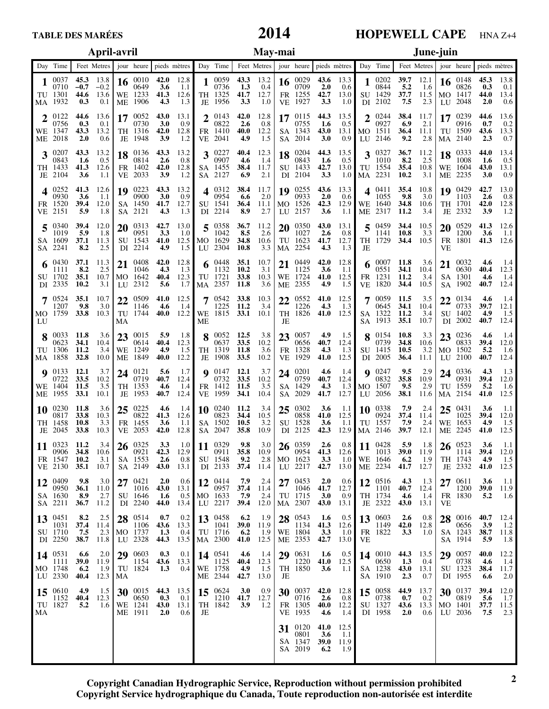# **2014**

## **HOPEWELL CAPE** HNA Z+4

|    | April-avril                                 |                                   |                               |    |                                                                         |                                         |                                         |           | May-mai                                                        |                                 |                                     |    |                                                                                                                                                   |                                   |                                    |    |                                                                 | June-juin                       |                                      |           |                                                     |                                   |                                         |  |
|----|---------------------------------------------|-----------------------------------|-------------------------------|----|-------------------------------------------------------------------------|-----------------------------------------|-----------------------------------------|-----------|----------------------------------------------------------------|---------------------------------|-------------------------------------|----|---------------------------------------------------------------------------------------------------------------------------------------------------|-----------------------------------|------------------------------------|----|-----------------------------------------------------------------|---------------------------------|--------------------------------------|-----------|-----------------------------------------------------|-----------------------------------|-----------------------------------------|--|
|    | Day Time                                    |                                   |                               |    |                                                                         |                                         |                                         |           |                                                                |                                 |                                     |    | Feet Metres   jour heure   pieds mètres   Day Time   Feet Metres   jour heure   pieds mètres   Day Time   Feet Metres   jour heure   pieds mètres |                                   |                                    |    |                                                                 |                                 |                                      |           |                                                     |                                   |                                         |  |
|    | 1 $^{0037}$<br>0710<br>TU 1301<br>MA 1932   | 45.3<br>$-0.7$<br>44.6<br>0.3     | 13.8<br>$-0.2$<br>13.6<br>0.1 |    | 16 $^{0010}_{0000}$<br>0649<br>WE 1233<br>ME 1906                       | 42.0<br>3.6<br>41.3<br>4.3              | 12.8<br>1.1<br>12.6<br>1.3              |           | $1\frac{0059}{0000}$<br>0736<br>TH 1325<br>JE 1956             | 43.3 13.2<br>1.3<br>41.7<br>3.3 | 0.4<br>12.7<br>1.0                  |    | 16 $^{0029}_{0700}$<br>0709<br>FR 1255<br>VE 1927                                                                                                 | 2.0<br>42.7<br>3.3                | 43.6 $13.3$<br>0.6<br>13.0<br>1.0  |    | $1\ \substack{0202\\0011}$<br>0844<br>SU 1429<br>DI 2102        | 5.2<br>37.7<br>7.5              | $39.7$ 12.1<br>-1.6<br>11.5<br>2.3   |           | 16 $^{0148}_{022}$<br>0826<br>MO 1417<br>LU 2048    | 45.3<br>0.3<br>44.0<br>2.0        | 13.8<br>0.1<br>13.4<br>0.6              |  |
|    | $2^{0122}$<br>0756<br>WE 1347<br>ME 2018    | 44.6<br>0.3<br>43.3<br>2.0        | 13.6<br>0.1<br>13.2<br>0.6    |    | 0730<br>TH 1316<br>JE 1948                                              | 43.0<br>3.0<br>42.0<br>3.9              | 13.1<br>0.9<br>12.8<br>1.2              |           | 2 $^{0143}_{0022}$<br>0822<br>FR 1410<br>VE 2041               | 42.0<br>2.6<br>40.0<br>4.9      | 12.8<br>0.8<br>12.2<br>1.5          |    | 17 $^{0115}_{07}$<br>0755<br>SA 1343<br>SA 2014                                                                                                   | 44.3<br>1.6<br>43.0<br>3.0        | 13.5<br>0.5<br>13.1 MO 1511<br>0.9 |    | $2^{0244}$<br>0927<br>LU 2146                                   | 38.4<br>6.9<br>36.4<br>9.2      | 11.7<br>2.1<br>11.1<br>2.8           |           | 17 $^{0239}$<br>0916<br>TU 1509<br>MA 2140          | 44.6<br>0.7<br>43.6<br>2.3        | 13.6<br>0.2<br>13.3<br>0.7              |  |
|    | $3^{0207}$<br>0843<br>TH 1433<br>JE 2104    | 43.3<br>-1.6<br>41.3<br>3.6       | 13.2<br>0.5<br>12.6<br>1.1    |    | 18 0136<br>0814<br>FR 1402<br>VE 2033                                   | 43.3<br>2.6<br>42.0<br>3.9              | 13.2<br>0.8<br>12.8<br>-1.2             |           | $3^{0227}$<br>0907<br>SA 1455<br>SA 2127                       | 40.4<br>4.6<br>38.4<br>6.9      | 12.3<br>-1.4<br>11.7<br>2.1         |    | $18^{0204}$<br>0843<br>SU 1433<br>DI 2104                                                                                                         | 44.3<br>1.6<br>42.7<br>3.3        | 13.5<br>0.5                        |    | $3^{0327}$<br>1010<br>13.0 TU 1554<br>$1.0$ MA 2231             | 36.7<br>8.2<br>35.4<br>10.2     | 11.2<br>2.5<br>10.8<br>3.1           |           | $18^{0333}$<br>1008<br>WE 1604<br>ME 2235           | 44.0<br>-1.6<br>43.0<br>3.0       | 13.4<br>0.5<br>13.1<br>0.9              |  |
|    | $4^{0252}$<br>0930<br>FR 1520<br>VE 2151    | 41.3<br>3.6<br>39.4<br>5.9        | 12.6<br>1.1<br>12.0<br>1.8    |    | 19 0223<br>0900<br>SA 1450<br>SA 2121                                   | 43.3<br>3.0<br>41.7<br>4.3              | 13.2<br>0.9<br>12.7<br>1.3              |           | $4^{0312}$<br>0954<br>SU 1541<br>DI 2214                       | 38.4<br>6.6<br>36.4<br>8.9      | 11.7<br>2.0<br>11.1<br>2.7          |    | $19^{0255}$<br>0933<br>MO 1526<br>LU 2157                                                                                                         | 43.6<br>2.0<br>42.3<br>3.6        | 13.3<br>0.6<br>1.1                 |    | $4^{0411}$<br>1055<br>12.9 WE 1640<br>ME 2317                   | 35.4<br>9.8<br>34.8<br>11.2     | 10.8<br>3.0<br>10.6<br>3.4           |           | 19 0429<br>1103<br>TH 1701<br>JE 2332               | 42.7<br>2.6<br>42.0<br>3.9        | 13.0<br>0.8<br>12.8<br>1.2              |  |
|    | $5^{0340}$<br>1019<br>SA 1609<br>SA 2241    | 39.4<br>5.9<br>37.1<br>8.2        | 12.0<br>1.8<br>11.3<br>2.5    |    | $20^{0313}$<br>0951<br>SU 1543<br>DI 2214                               | 42.7<br>3.3<br>41.0<br>4.9              | 13.0<br>1.0<br>12.5<br>1.5              |           | $5\frac{0358}{1012}$<br>1042<br>MO 1629<br>LU 2304             | 36.7<br>8.5<br>34.8<br>10.8     | 11.2<br>2.6<br>10.6<br>3.3          |    | $20^{0350}$<br>1027<br>TU 1623<br>MA 2254                                                                                                         | 43.0<br>2.6<br>41.7<br>4.3        | 13.1<br>$0.8\,$<br>12.7<br>1.3     | JE | $5^{0459}$<br>1141 10.8<br>TH 1729                              | 34.4<br>34.4 10.5               | 10.5<br>3.3                          | VE        | $20^{0529}$<br>1200<br>FR 1801                      | 41.3<br>3.6<br>41.3               | 12.6<br>1.1<br>12.6                     |  |
|    | 0430<br>1111<br>SU 1702<br>DI 2335          | 37.1<br>8.2<br>35.1<br>10.2       | 11.3<br>2.5<br>10.7<br>3.1    |    | 21 0408<br>1046<br>MO 1642<br>LU 2312                                   | 42.0<br>4.3<br>40.4<br>5.6              | 12.8<br>1.3<br>12.3<br>1.7              |           | 6 $^{0448}$<br>1132<br>TU 1721<br>MA 2357                      | 35.1<br>10.2<br>33.8<br>11.8    | 10.7<br>3.1<br>10.3<br>3.6          |    | $21^{0449}$<br>1125<br>WE 1724<br>ME 2355                                                                                                         | 42.0<br>3.6<br>41.0<br>4.9        | 12.8<br>1.1<br>12.5<br>1.5         |    | 6 $^{0007}_{0222}$ 11.8<br>0551<br>FR 1231<br>VE 1820           | 34.1<br>11.2<br>34.4            | 3.6<br>10.4<br>3.4<br>10.5           |           | $21^{0032}$<br>0630<br>SA 1301<br>SA 1902           | 4.6<br>40.4<br>4.6<br>40.7        | 1.4<br>12.3<br>1.4<br>12.4              |  |
| LU | $7 \t0524$<br>1207<br>MO 1759               | 35.1<br>9.8<br>33.8               | 10.7<br>3.0<br>10.3           | MA | 22 0509<br>1146<br>TU 1744                                              | 41.0<br>4.6                             | 12.5<br>1.4<br>40.0 $12.2$              | MЕ        | $7 \t 0542$<br>1225 11.2<br>WE 1815 33.1 10.1                  | 33.8                            | 10.3<br>3.4                         | JE | $22\ \frac{0552}{122}$<br>1226<br>TH 1826                                                                                                         | 41.0<br>4.3                       | 12.5<br>1.3<br>41.0 $12.5$         |    | 7 0059 11.5<br>0645<br>SA 1322<br>SA 1913                       | 34.1<br>11.2<br>35.1            | 3.5<br>10.4<br>3.4<br>10.7           |           | $22\frac{0134}{0722}$<br>0733<br>SU 1402<br>DI 2002 | 4.6<br>39.7<br>4.9<br>40.7        | 1.4<br>12.1<br>1.5<br>12.4              |  |
|    | 8 0033 11.8<br>0623<br>TU 1306<br>MA 1858   | 34.1<br>11.2<br>32.8              | 3.6<br>10.4<br>3.4<br>10.0    |    | 23 0015<br>0614<br>WE 1249<br>ME 1849                                   | 5.9<br>40.4<br>4.9<br>40.0              | 1.8<br>12.3<br>1.5<br>12.2              |           | $8\substack{0.052\\0.052}$ 12.5<br>0637<br>TH 1319<br>JE 1908  | 33.5<br>11.8<br>33.5            | 3.8<br>10.2<br>3.6<br>10.2          |    | $23\frac{0057}{0055}$<br>0656<br>FR 1328<br>VE 1929                                                                                               | 4.9<br>40.7<br>4.3<br>41.0        | 1.5<br>12.4<br>1.3<br>12.5         |    | $8\substack{0.154\\ \ldots}$ 10.8<br>0739<br>SU 1415<br>DI 2005 | 34.8<br>10.5<br>36.4            | 3.3<br>10.6<br>3.2<br>11.1           |           | $23\frac{0236}{0000}$<br>0833<br>MO 1502<br>LU 2100 | 4.6<br>39.4<br>5.2<br>40.7        | 1.4<br>12.0<br>1.6<br>12.4              |  |
|    | $Q$ 0133<br>0722<br>WE 1404<br>ME 1955      | 12.1<br>33.5<br>11.5<br>33.1      | 3.7<br>10.2<br>3.5<br>10.1    |    | 24 0121<br>0719<br>TH 1353<br>JE 1953                                   | 5.6<br>40.7<br>4.6<br>40.7              | 1.7<br>12.4<br>1.4<br>12.4              |           | <b>9</b> 0147 12.1<br>0732<br>FR 1412<br>VE 1959               | 33.5<br>11.5<br>34.1            | 3.7<br>10.2<br>3.5<br>10.4          |    | 24 0201<br>0759<br>SA 1429<br>SA 2029                                                                                                             | 4.6<br>40.7<br>4.3<br>41.7        | 1.4<br>12.4<br>1.3<br>12.7         |    | $Q$ 0247<br>0832<br>MO 1507<br>LU 2056                          | 9.5<br>35.8<br>9.5<br>38.1      | 2.9<br>10.9<br>2.9<br>11.6           |           | 24 0336<br>0931<br>TU 1559<br>MA 2154               | 4.3<br>39.4<br>5.2<br>41.0        | 1.3<br>12.0<br>1.6<br>12.5              |  |
| 10 | 0230<br>0817<br>TH 1458<br>JE 2045          | 11.8<br>33.8<br>10.8<br>33.8      | 3.6<br>10.3<br>3.3<br>10.3    |    | $25\ \frac{0225}{0225}$<br>0822<br>FR 1455<br>VE 2053                   | 4.6<br>41.3<br>3.6<br>42.0              | 1.4<br>12.6<br>-1.1<br>12.8             |           | $10^{0240}$<br>0823<br>SA 1502<br>SA 2047                      | 11.2<br>34.4<br>10.5<br>35.8    | 3.4<br>10.5<br>3.2<br>10.9          |    | 25 $^{0302}_{0250}$<br>0858<br>SU 1528<br>DI 2125                                                                                                 | 3.6<br>41.0<br><b>3.6</b><br>42.3 | 1.1<br>12.5<br>1.1<br>12.9         |    | $10^{0.338}_{0.22}$<br>0924<br>TU 1557<br>MA 2146               | 7.9<br>37.4<br>7.9<br>39.7      | 2.4<br>11.4<br>2.4<br>12.1           |           | $25\frac{0431}{1025}$<br>1025<br>WE 1653<br>ME 2245 | 3.6<br>39.4<br>4.9<br>41.0        | 1.1<br>12.0<br>1.5<br>12.5              |  |
| 11 | 0323 11.2<br>$-10906$<br>FR 1547<br>VE 2130 | 34.8<br>10.2<br>35.1              | 10.6<br>3.1<br>10.7           |    | $\frac{3.4}{10.6}$ 26 $\frac{0325}{0921}$<br>0921<br>SA 1553<br>SA 2149 | <b>3.3</b><br>42.3<br>2.6<br>43.0       | 12.9<br>$0.8$ I<br>13.1                 | <b>**</b> | $1.0$ 11 0329 9.8<br>0911 35.8 10.9<br>SU 1548<br>DI 2133 37.4 | 9.2                             | 11.4                                |    | $\frac{3.0}{10.9}$ 26 $\frac{0359}{0954}$<br>0954<br>$2.8$ MO 1623<br>LU 2217                                                                     | 2.6<br>41.3<br>3.3<br>42.7        | 12.6                               |    | $0.8$ 11 0428<br>$11$ 1013<br>1.0 WE 1646<br>13.0 ME 2234       | 5.9<br>39.0 11.9<br>6.2<br>41.7 | $1.8$   26 0523<br>1.9<br>12.7       | $\cdot$   | 1114<br>TH 1743<br>JE 2332                          | 3.6<br>39.4<br>4.9<br>41.0        | 1.1 <sub>1</sub><br>12.0<br>1.5<br>12.5 |  |
|    | 12 0409<br>0950<br>SA 1630<br>SA 2211       | 9.8<br>36.1<br>8.9<br>36.7        | 3.0<br>11.0<br>2.7<br>11.2    |    | 27 0421<br>1016<br>SU 1646<br>DI 2240                                   | 2.0<br>43.0<br>$1.6\phantom{0}$<br>44.0 | 0.6<br>13.1<br>13.4 LU 2217             |           | 12 $^{0414}_{0222}$<br>0957 37.4 11.4<br>$0.5$ MO 1633         | 7.9<br>7.9<br>39.4              | 2.4<br>2.4<br>12.0                  |    | $27^{0453}$<br>1046<br>TU 1715<br>MA 2307                                                                                                         | 2.0<br>41.7<br>3.0<br>43.0        | 0.6<br>12.7<br>0.9<br>13.1         |    | 12 0516<br>1101<br>TH 1734<br>JE 2322                           | 4.3<br>4.6<br>43.0              | 1.3<br>$40.7$ 12.4<br>-1.4<br>13.1   | <b>VE</b> | $27^{0611}_{1222}$<br>1200<br>FR 1830               | 3.6<br><b>39.0</b><br>5.2         | -1.1<br>11.9<br>1.6                     |  |
|    | 13 0451<br>1031<br>SU 1710<br>DI 2250       | 8.2<br>37.4<br>7.5<br>38.7        | 2.5<br>11.4<br>2.3<br>11.8    |    | 28 0514<br>1106<br>MO 1737<br>LU 2328                                   | 0.7<br>43.6<br>1.3                      | 0.2<br>13.3<br>0.4<br>44.3 13.5 MA 2300 |           | 13 $\frac{0458}{1043}$<br>1041<br>TU 1716                      | 6.2<br><b>39.0</b><br>6.2       | - 1.9<br>11.9<br>- 1.9<br>41.0 12.5 |    | 28 0543<br>1134<br>WE 1804<br>ME 2353                                                                                                             | 1.6<br>41.3<br>3.3<br>42.7        | 0.5<br>- 12.6<br>- 1.0<br>13.0     | VE | 13 0603<br>1149<br>FR 1822                                      | 2.6<br>42.0<br>3.3              | 0.8<br>- 12.8<br>1.0                 |           | $28^{+0016}_{-0055}$<br>0656<br>SA 1243<br>SA 1914  | 40.7<br><b>3.9</b><br>38.7<br>5.9 | 12.4<br>- 1.2<br>11.8<br>1.8            |  |
|    | 14 0531<br>1111<br>MO 1748<br>LU 2330       | 6.6<br><b>39.0</b><br>6.2<br>40.4 | 2.0<br>11.9<br>-1.9<br>12.3   | МA | 29 0603<br>1154<br>TU 1824                                              | 0.3<br>43.6<br>1.3                      | 0.1<br>13.3                             |           | 14 $^{0541}$<br>1125<br>$0.4$ WE 1758<br>ME 2344               | 4.6<br>40.4<br>4.9<br>42.7      | 1.4<br>12.3<br>1.5<br>13.0          | JE | 29 0631<br>1220<br>TH 1850                                                                                                                        | 1.6<br>41.0 12.5<br>3.6           | 0.5<br>1.1                         |    | 14 0010<br>0650<br>SA 1238<br>SA 1910                           | 44.3 13.5<br>1.3<br>43.0<br>2.3 | - 0.4<br>13.1<br>0.7                 |           | $29\ \ 0057$<br>0738<br>SU 1323<br>DI 1955          | 40.0<br>4.6<br>38.4<br>6.6        | 12.2<br>-1.4<br>11.7<br>2.0             |  |
| MA | 15 0610<br>1152<br>TU 1827                  | 4.9<br>40.4<br>5,2                | 1.5<br>12.3<br>1.6            |    | 30 $^{0015}_{0222}$<br>0650<br>WE 1241<br>ME 1911                       | 0.3<br>43.0<br>2.0                      | 44.3 $13.5$<br>0.1<br>13.1<br>0.6       | JE        | 15 $0624$<br>1210 41.7<br>TH 1842                              | <b>3.0</b><br>3.9               | 0.9<br>12.7<br>1.2                  |    | 30 $^{0037}$<br>0716<br>FR 1305<br>VE 1935                                                                                                        | 42.0<br>2.6<br>40.0<br>4.6        | 12.8<br>0.8<br>12.2<br>-1.4        |    | 15 $^{0058}_{0000}$<br>0738<br>SU 1327<br>DI 1958               | 44.9<br>0.7<br>43.6<br>2.0      | 13.7<br>0.2<br>13.3   MO 1401<br>0.6 |           | 30 $^{0137}$<br>0819<br>LU 2036                     | 39.4<br>5.6<br>37.7<br>7.5        | 12.0<br>1.7<br>11.5<br>2.3              |  |
|    |                                             |                                   |                               |    |                                                                         |                                         |                                         |           |                                                                |                                 |                                     |    | 31 0120<br>0801<br>SA 1347<br>SA 2019                                                                                                             | 41.0<br>3.6<br><b>39.0</b><br>6.2 | 12.5<br>-1.1<br>11.9<br>1.9        |    |                                                                 |                                 |                                      |           |                                                     |                                   |                                         |  |

**Copyright Canadian Hydrographic Service, Reproduction without permission prohibited Copyright Service hydrographique du Canada, Toute reproduction non-autorisée est interdite**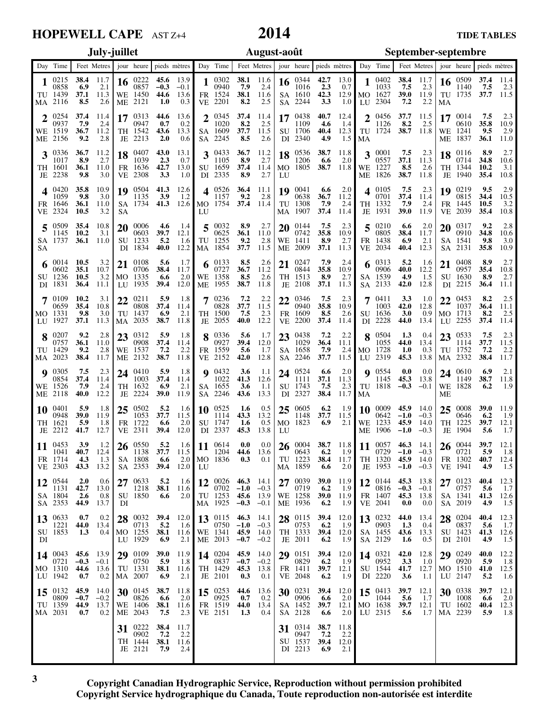## **HOPEWELL CAPE** AST Z+4

# **2014**

|                |                                           |                                    | July-juillet                  |                 |                                                           |                                   |                                   |          |                                                            |                            | August-août                                                                                                   |                 |                                                           |                            | September-septembre                       |                 |                                                                  |                                          |                                     |                       |                                                  |                                   |                             |
|----------------|-------------------------------------------|------------------------------------|-------------------------------|-----------------|-----------------------------------------------------------|-----------------------------------|-----------------------------------|----------|------------------------------------------------------------|----------------------------|---------------------------------------------------------------------------------------------------------------|-----------------|-----------------------------------------------------------|----------------------------|-------------------------------------------|-----------------|------------------------------------------------------------------|------------------------------------------|-------------------------------------|-----------------------|--------------------------------------------------|-----------------------------------|-----------------------------|
| Day            | Time                                      |                                    | Feet Metres i jour heure      |                 |                                                           |                                   | pieds mètres                      |          | Day Time                                                   |                            | Feet Metres                                                                                                   |                 | jour heure                                                |                            | pieds mètres                              |                 | Day Time                                                         |                                          | Feet Metres i jour heure            |                       |                                                  |                                   | pieds mètres                |
| 1              | 0215<br>0858<br>TU 1439<br>MA 2116        | 38.4<br>6.9<br>37.1<br>8.5         | 11.7<br>2.1<br>11.3<br>2.6    | 16<br>WE<br>MЕ  | 0222<br>0857<br>1450<br>2121                              | 45.6<br>$-0.3$<br>44.6<br>1.0     | 13.9<br>$-0.1$<br>13.6<br>0.3     |          | 0302<br>0940<br>FR 1524<br>VE 2201                         | 38.1<br>7.9<br>38.1<br>8.2 | 11.6<br>2.4<br>11.6<br>2.5                                                                                    | 16<br>SA.       | -0344<br>1016<br>SA 1610<br>2244                          | 42.7<br>2.3<br>42.3<br>3.3 | 13.0<br>0.7<br>12.9<br>1.0                | LU              | 0402<br>1033<br>MO 1627<br>2304                                  | 38.4<br>7.5<br>39.0<br>7.2               | 11.7<br>2.3<br>11.9<br>2.2          | 16<br>MA              | 0509<br>1140<br>TU 1735                          | 37.4<br>7.5<br>37.7               | 11.4<br>2.3<br>11.5         |
| WE             | 0254<br>0937<br>1519<br>ME 2156           | 37.4<br>7.9<br>36.7<br>9.2         | 11.4<br>2.4<br>11.2<br>2.8    | 17<br>TH<br>JE  | 0313<br>0947<br>1542<br>2213                              | 44.6<br>0.7<br>43.6<br>2.0        | 13.6<br>0.2<br>13.3<br>0.6        | າ<br>SA. | 0345<br>1020<br>SA 1609<br>2245                            | 37.4<br>8.2<br>37.7<br>8.5 | 11.4<br>2.5<br>11.5<br>2.6                                                                                    | 17<br>DI        | 0438<br>1109<br>SU 1706<br>2340                           | 40.7<br>4.6<br>40.4<br>4.9 | 12.4<br>1.4<br>12.3<br>1.5                | 2<br>TU<br>MA   | 0456<br>1126<br>1724                                             | 37.7<br>8.2<br>38.7                      | 11.5<br>2.5<br>11.8                 | 17<br>WE<br>MЕ        | 0014<br>0610<br>-1241<br>-1837                   | 7.5<br>35.8<br>9.5<br>36.1        | 2.3<br>10.9<br>2.9<br>11.0  |
| 3<br>TH.<br>JE | 0336<br>1017<br>- 1601<br>-2238           | 36.7<br>8.9<br>36.1<br>9.8         | 11.2<br>2.7<br>11.0<br>3.0    | 18<br>FR<br>VE  | 0407<br>1039<br>1636<br>2308                              | 43.0<br>2.3<br>42.7<br>3.3        | 13.1<br>0.7<br>13.0<br>1.0        | 3        | 0433<br>1105<br>SU 1659<br>DI 2335                         | 36.7<br>8.9<br>37.4<br>8.9 | 11.2<br>2.7<br>11.4<br>2.7                                                                                    | MO.<br>LU       | 18 0536<br>1206<br>1805                                   | 38.7<br>6.6<br>38.7        | 11.8<br>2.0<br>11.8                       | 3<br>WE<br>ME   | 0001<br>0557<br>1227<br>1826                                     | 7.5<br>37.1<br>8.5<br>38.7               | 2.3<br>11.3<br>2.6<br>11.8          | 18<br>JE              | 0116<br>0714<br>TH 1344<br>1940                  | 8.9<br>34.8<br>10.2<br>35.4       | 2.7<br>10.6<br>3.1<br>10.8  |
| FR.<br>VE      | 0420<br>1059<br>- 1646<br>2324            | 35.8<br>9.8<br>36.1<br>10.5        | 10.9<br>3.0<br>11.0<br>3.2    | 19<br>SA<br>SА  | 0504<br>1135<br>1734                                      | 41.3<br>3.9<br>41.3               | 12.6<br>1.2<br>12.6               | 4<br>LU  | 0526<br>1157<br>MO 1754                                    | 36.4<br>9.2<br>37.4        | 11.1<br>2.8<br>11.4                                                                                           | 19<br>МA        | 0041<br>0638<br>TU 1308<br>1907                           | 6.6<br>36.7<br>7.9<br>37.4 | 2.0<br>11.2<br>2.4<br>11.4                | Δ<br>TH<br>JE   | 0105<br>0701<br>-1332<br>1931                                    | 7.5<br>37.4<br>7.9<br>39.0               | 2.3<br>11.4<br>2.4<br>11.9          | 19<br>FR<br><b>VE</b> | 0219<br>0815<br>-1445<br>2039                    | 9.5<br>34.4<br>10.5<br>35.4       | 2.9<br>10.5<br>3.2<br>10.8  |
| 5<br>SА        | 0509<br>1145<br>SA 1737                   | 35.4<br>10.2<br>36.1               | 10.8<br>3.1<br>11.0           | 20<br>SU<br>DI  | 0006<br>0603<br>1233<br>1834                              | 4.6<br>39.7<br>5.2<br>40.0        | 1.4<br>12.1<br>1.6<br>12.2        | 5<br>MA  | 0032<br>0625<br>TU 1255<br>1854                            | 8.9<br>36.1<br>9.2<br>37.7 | 2.7<br>11.0<br>2.8<br>11.5                                                                                    | 20<br>WE<br>MЕ  | 0144<br>0742<br>-1411<br>2009                             | 7.5<br>35.8<br>8.9<br>37.1 | 2.3<br>10.9<br>2.7<br>11.3                | 5<br>FR<br>VE   | 0210<br>0805<br>1438<br>2034                                     | 6.6<br>38.4<br>6.9<br>40.4               | 2.0<br>11.7<br>2.1<br>12.3          | 20<br>SA<br>SА        | 0317<br>0910<br>-1541<br>2131                    | 9.2<br>34.8<br>9.8<br>35.8        | 2.8<br>10.6<br>3.0<br>10.9  |
|                | 0014<br>0602<br>SU 1236<br>DI 1831        | 10.5<br>35.1<br>10.5<br>36.4       | 3.2<br>10.7<br>3.2<br>11.1    | 21<br>MO.<br>LU | 0108<br>0706<br>1335<br>1935                              | 5.6<br>38.4<br>6.6<br>39.4        | 1.7<br>11.7<br>2.0<br>12.0        | WE<br>MЕ | 0133<br>0727<br>1358<br>1955                               | 8.5<br>36.7<br>8.5<br>38.7 | 2.6<br>11.2<br>2.6<br>11.8                                                                                    | 21<br>JE        | 0247<br>0844<br>TH 1513<br>2108                           | 7.9<br>35.8<br>8.9<br>37.1 | 2.4<br>10.9<br>2.7<br>11.3                | 6<br>SА<br>SA   | 0313<br>0906<br>1539<br>2133                                     | 5.2<br>40.0<br>4.9<br>42.0               | 1.6<br>12.2<br>1.5<br>12.8          | 21                    | 0408<br>0957<br>SU 1630<br>DI 2215               | 8.9<br>35.4<br>8.9<br>36.4        | 2.7<br>10.8<br>2.7<br>11.1  |
|                | 0109<br>0659<br>MO 1331<br>LU 1927        | 10.2<br>35.4<br>9.8<br>37.1        | 3.1<br>10.8<br>3.0<br>11.3    | 22<br>TU<br>МA  | 0211<br>0808<br>1437<br>2035                              | 5.9<br>37.4<br>6.9<br>38.7        | 1.8<br>11.4<br>2.1<br>11.8        |          | 0236<br>0828<br>TH 1500<br>JE 2055                         | 7.2<br>37.7<br>7.5<br>40.0 | 2.2<br>11.5<br>2.3<br>12.2                                                                                    | 22<br>FR.       | 0346<br>0940<br>1609<br>VE 2200                           | 7.5<br>35.8<br>8.5<br>37.4 | 2.3<br>10.9<br>2.6<br>11.4                | 7               | 0411<br>1003<br>SU 1636<br>DI 2228                               | 3.3<br>42.0<br>3.0<br>44.0               | 1.0<br>12.8<br>0.9<br>13.4          | 22<br>LU              | 0453<br>1037<br>MO 1713<br>2255                  | 8.2<br>36.4<br>8.2<br>37.4        | 2.5<br>11.1<br>2.5<br>11.4  |
| TU             | 0207<br>0757<br>- 1429<br>MA 2023         | 9.2<br>36.1<br>9.2<br>38.4         | 2.8<br>11.0<br>2.8<br>11.7    | 23<br>WE<br>МE  | 0312<br>0908<br>1537<br>2132                              | 5.9<br>37.4<br>7.2<br>38.7        | 1.8<br>11.4<br>2.2<br>11.8        |          | 0336<br>0927<br>FR 1559<br>VE 2152                         | 5.6<br>39.4<br>5.6<br>42.0 | 1.7<br>12.0<br>1.7<br>12.8                                                                                    | 23              | 0438<br>1029<br>SA 1658<br>SA 2246                        | 7.2<br>36.4<br>7.9<br>37.7 | 2.2<br>11.1<br>2.4<br>11.5                | 8<br>MO.<br>LU. | 0504<br>1055<br>1728<br>2319                                     | 1.3<br>44.0<br>1.0<br>45.3               | 0.4<br>13.4<br>0.3<br>13.8          | 23<br>TU              | 0533<br>1114<br>1752<br>MA 2332                  | 7.5<br>37.7<br>7.2<br>38.4        | 2.3<br>11.5<br>2.2<br>11.7  |
| Q<br>WE<br>МE  | 0305<br>0854<br>-1526<br>2118             | 7.5<br>37.4<br>7.9<br>40.0         | 2.3<br>11.4<br>2.4<br>12.2    | 24<br>TH<br>JE  | 0410<br>1003<br>1632<br>2224                              | 5.9<br>37.4<br>6.9<br><b>39.0</b> | 1.8<br>11.4<br>2.1<br>11.9        | SA       | $9 \t0432$<br>1022<br>SA 1655<br>2246                      | 3.6<br>41.3<br>3.6<br>43.6 | 1.1<br>12.6<br>1.1<br>13.3                                                                                    |                 | 24 0524<br>1111<br>SU 1743<br>DI 2327                     | 6.6<br>37.1<br>7.5<br>38.4 | 2.0<br>11.3<br>2.3<br>11.7                | TU<br>MA        | 90554<br>1145<br>1818                                            | 0.0<br>45.3<br>$-0.3$                    | 0.0<br>13.8<br>$-0.1$               | WE<br>MЕ              | 24 0610<br>1149<br>1828                          | 6.9<br>38.7<br>6.2                | 2.1<br>11.8<br>1.9          |
| 10<br>TH<br>JE | 0401<br>0948<br>- 1621<br>2212            | 5.9<br>39.0<br>5.9<br>41.7         | 1.8<br>11.9<br>1.8<br>12.7    | 25<br>FR        | 0502<br>1053<br>1722<br>VE 2311                           | 5.2<br>37.7<br>6.6<br>39.4        | 1.6<br>11.5<br>2.0<br>12.0        | 10       | 0525<br>1114<br>SU 1747<br>DI 2337                         | 1.6<br>43.3<br>1.6<br>45.3 | 0.5<br>13.2<br>0.5<br>13.8                                                                                    | 25<br>MO.<br>LU | -0605<br>1148<br>1823                                     | 6.2<br>37.7<br>6.9         | 1.9<br>11.5<br>2.1                        | 10<br>WE        | 0009<br>0642<br>1233<br>ME 1906                                  | 45.9<br>$-1.0$<br>45.9<br>$-1.0$         | 14.0<br>$-0.3$<br>14.0<br>$-0.3$    | 25<br>TH<br>JE        | 0008<br>0646<br>1225<br>1904                     | <b>39.0</b><br>6.2<br>39.7<br>5.6 | 11.9<br>1.9<br>12.1<br>1.7  |
|                | $11^{0453}$<br>1041<br>FR 1714<br>VE 2303 | 3.9<br>40.7<br>4.3<br>43.3         | 1.2<br>12.4<br>1.3<br>13.2    |                 | 26 0550<br>1138<br>SA 1808<br>SA 2353                     | 5.2<br>37.7<br>6.6<br>39.4        | 11.5<br>2.0<br>12.0               | LU       | $1.6$ 11 $^{0614}$<br>1204<br>MO 1836                      | 0.0<br>44.6<br>0.3         | 0.0<br>13.6<br>0.1                                                                                            |                 | $26\ \substack{0004\\0003}$<br>0643<br>TU 1223<br>MA 1859 | 6.2<br>6.6                 | 38.7 11.8<br>-1.9<br>38.4 11.7<br>2.0     |                 | 11 $^{0057}$<br>$0729 -1.0 -0.3$<br>TH 1320 45.9 14.0<br>JE 1953 | $-1.0 -0.3$                              | <b>46.3</b> 14.1                    |                       | $26\degree^{0044}$<br>0721<br>FR 1302<br>VE 1941 | 39.7<br>5.9<br>40.7<br>4.9        | 12.1<br>1.8<br>12.4<br>1.5  |
|                | 12 0544<br>1131<br>SA 1804<br>SA 2353     | <b>2.0</b><br>42.7<br>2.6<br>44.9  | 0.6<br>13.0<br>0.8<br>13.7    | DI              | 27 0633<br>1218<br>SU 1850                                | 5.2<br>38.1<br>6.6                | 1.6<br>11.6<br>2.0                |          | $0702 -1.0$<br>TU 1253<br>MA 1925                          | 45.6                       | 12 $\begin{bmatrix} 0026 & 46.3 & 14.1 \\ 0702 & 18.2 & 0.2 \end{bmatrix}$<br>$-0.3$<br>13.9<br>$-0.3$ $-0.1$ |                 | 27 $^{0039}_{0710}$<br>0719<br>WE 1258<br>ME 1936         | 6.2<br>6.2                 | 39.0 $11.9$<br>1.9<br>39.0 $11.9$<br>-1.9 |                 | 12 $^{0144}_{0215}$<br>0816<br>FR 1407<br>VE 2041                | $-0.3$ $-0.1$<br>45.3<br>0.0             | 45.3 13.8<br>13.8<br>0.0            |                       | 27 0123<br>0757<br>SA 1341<br>SA 2019            | 40.4<br>5.6<br>41.3<br>4.9        | 12.3<br>1.7<br>12.6<br>1.5  |
| DI             | $13^{0633}$<br>1221<br>SU 1853            | 0.7<br>44.0<br>1.3                 | 0.2<br>13.4<br>0.4            |                 | $28\substack{0.032\\0.712}$<br>0713<br>MO 1255<br>LU 1929 | 5.2<br>38.1<br>6.9                | 39.4 $12.0$<br>1.6<br>11.6<br>2.1 |          | 13 $^{0115}_{0750}$<br>WE 1341 <b>45.9</b> 14.0<br>ME 2013 | $0750 -1.0 -0.3$<br>$-0.7$ | $46.3$ 14.1<br>$-0.2$                                                                                         |                 | 28 $^{0115}_{0752}$<br>0753<br>TH 1333<br>JE 2011         | 6.2<br>6.2                 | 39.4 12.0<br>- 1.9<br>39.4 $12.0$<br>-1.9 |                 | 13 $^{0232}_{0002}$<br>0903<br>SA 1455<br>SA 2129                | 44.0<br>1.3<br>43.6<br>1.6               | 13.4<br>0.4<br>13.3<br>0.5          |                       | $28^{0204}$<br>0837<br>SU 1423<br>DI 2101        | 40.4<br>5.6<br>41.3<br>4.9        | 12.3<br>1.7<br>12.6<br>1.5  |
|                | 14 $0043$<br>0721<br>MO 1310<br>LU 1942   | 45.6 13.9<br>$-0.3$<br>44.6<br>0.7 | $-0.1$<br>13.6<br>0.2         |                 | 29 0109<br>0750<br>TU 1331<br>MA 2007                     | 5.9<br>38.1<br>6.9                | 39.0 11.9<br>1.8<br>11.6<br>2.1   |          | 14 0204 45.9<br>TH 1429<br>JE 2101                         | $0837 -0.7$<br>45.3<br>0.3 | 14.0<br>$-0.2$<br>13.8<br>0.1                                                                                 |                 | 29 0151<br>0829<br>FR 1411<br>VE 2048                     | 6.2<br>6.2                 | 39.4 12.0<br>-1.9<br>$39.7$ 12.1<br>1.9   |                 | $14^{0321}$<br>0952<br>SU 1544<br>DI 2220                        | 3.3<br>41.7<br>3.6                       | $42.0$ 12.8<br>-1.0<br>12.7<br>-1.1 |                       | 29 0249<br>0920<br>MO 1510<br>LU 2147            | 40.0<br>5.9<br>41.0<br>5.2        | 12.2<br>1.8<br>12.5<br>1.6  |
|                | 15 0132<br>0809<br>TU 1359<br>MA 2031     | 45.9<br>$-0.7$<br>44.9<br>0.7      | 14.0<br>$-0.2$<br>13.7<br>0.2 |                 | 30 0145<br>0826<br>WE 1406<br>ME 2043                     | 38.7<br>6.6<br>38.1<br>7.5        | 11.8<br>2.0<br>11.6<br>2.3        |          | 15 $^{0253}$<br>0925<br>FR 1519<br>VE 2151                 | 44.6<br>0.7<br>44.0<br>1.3 | 13.6<br>0.2<br>13.4<br>0.4                                                                                    |                 | 30 0231<br>0906<br>SA 1452<br>SA 2128                     | 6.6<br><b>39.7</b><br>6.6  | 39.4 $12.0$<br>2.0<br>12.1<br>2.0         |                 | 15 $^{0413}$<br>1044<br>MO 1638<br>LU 2315                       | <b>39.7</b><br>5.6<br><b>39.7</b><br>5.6 | 12.1<br>1.7<br>12.1<br>1.7          |                       | 30 0338<br>1008<br>TU 1602<br>MA 2239            | 39.7<br>6.6<br>40.4<br>5.9        | 12.1<br>2.0<br>12.3<br>-1.8 |
|                |                                           |                                    |                               |                 | 31 0222<br>0902<br>TH 1444<br>JE 2121                     | 38.4<br>7.2<br>38.1<br>7.9        | 11.7<br>2.2<br>11.6<br>2.4        |          |                                                            |                            |                                                                                                               |                 | $31^{0314}$<br>0947<br>SU 1537<br>DI 2213                 | 38.7<br>7.2<br>39.4<br>6.9 | 11.8<br>2.2<br>12.0<br>2.1                |                 |                                                                  |                                          |                                     |                       |                                                  |                                   |                             |

**3** 

**Copyright Canadian Hydrographic Service, Reproduction without permission prohibited Copyright Service hydrographique du Canada, Toute reproduction non-autorisée est interdite**